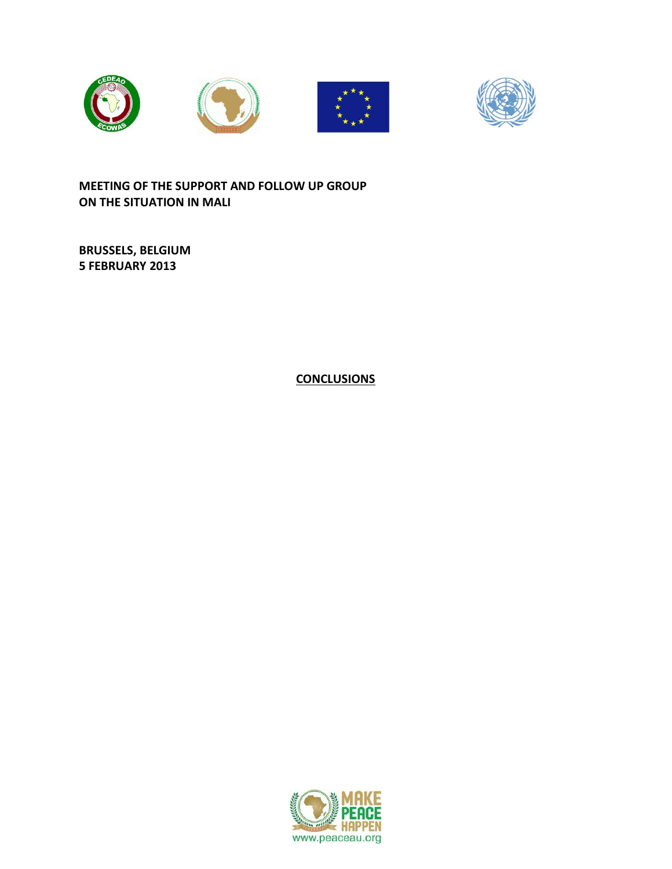



**MEETING OF THE SUPPORT AND FOLLOW UP GROUP ON THE SITUATION IN MALI**

**BRUSSELS, BELGIUM 5 FEBRUARY 2013**

**CONCLUSIONS**

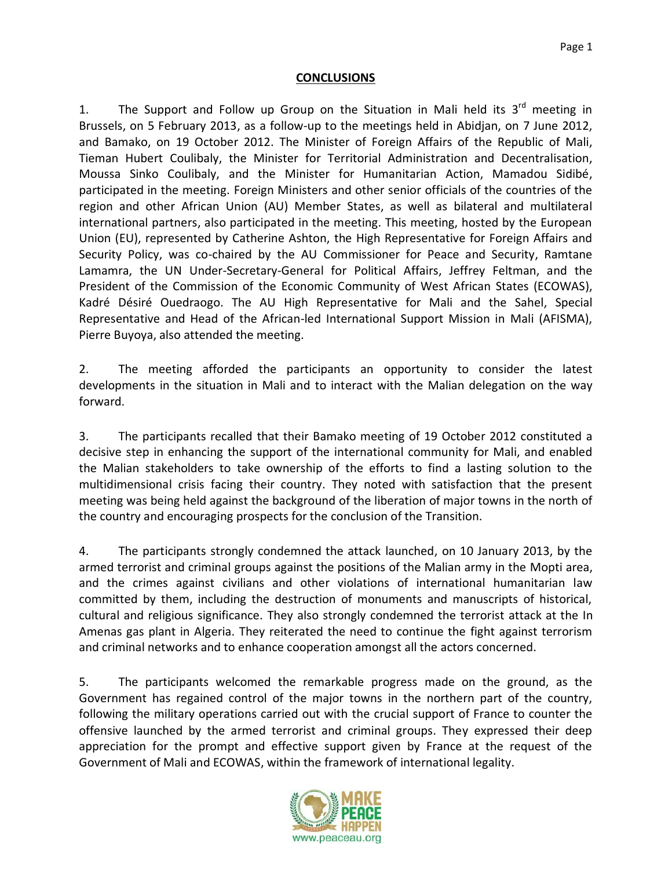## **CONCLUSIONS**

1. The Support and Follow up Group on the Situation in Mali held its  $3^{rd}$  meeting in Brussels, on 5 February 2013, as a follow-up to the meetings held in Abidjan, on 7 June 2012, and Bamako, on 19 October 2012. The Minister of Foreign Affairs of the Republic of Mali, Tieman Hubert Coulibaly, the Minister for Territorial Administration and Decentralisation, Moussa Sinko Coulibaly, and the Minister for Humanitarian Action, Mamadou Sidibé, participated in the meeting. Foreign Ministers and other senior officials of the countries of the region and other African Union (AU) Member States, as well as bilateral and multilateral international partners, also participated in the meeting. This meeting, hosted by the European Union (EU), represented by Catherine Ashton, the High Representative for Foreign Affairs and Security Policy, was co-chaired by the AU Commissioner for Peace and Security, Ramtane Lamamra, the UN Under-Secretary-General for Political Affairs, Jeffrey Feltman, and the President of the Commission of the Economic Community of West African States (ECOWAS), Kadré Désiré Ouedraogo. The AU High Representative for Mali and the Sahel, Special Representative and Head of the African-led International Support Mission in Mali (AFISMA), Pierre Buyoya, also attended the meeting.

2. The meeting afforded the participants an opportunity to consider the latest developments in the situation in Mali and to interact with the Malian delegation on the way forward.

3. The participants recalled that their Bamako meeting of 19 October 2012 constituted a decisive step in enhancing the support of the international community for Mali, and enabled the Malian stakeholders to take ownership of the efforts to find a lasting solution to the multidimensional crisis facing their country. They noted with satisfaction that the present meeting was being held against the background of the liberation of major towns in the north of the country and encouraging prospects for the conclusion of the Transition.

4. The participants strongly condemned the attack launched, on 10 January 2013, by the armed terrorist and criminal groups against the positions of the Malian army in the Mopti area, and the crimes against civilians and other violations of international humanitarian law committed by them, including the destruction of monuments and manuscripts of historical, cultural and religious significance. They also strongly condemned the terrorist attack at the In Amenas gas plant in Algeria. They reiterated the need to continue the fight against terrorism and criminal networks and to enhance cooperation amongst all the actors concerned.

5. The participants welcomed the remarkable progress made on the ground, as the Government has regained control of the major towns in the northern part of the country, following the military operations carried out with the crucial support of France to counter the offensive launched by the armed terrorist and criminal groups. They expressed their deep appreciation for the prompt and effective support given by France at the request of the Government of Mali and ECOWAS, within the framework of international legality.

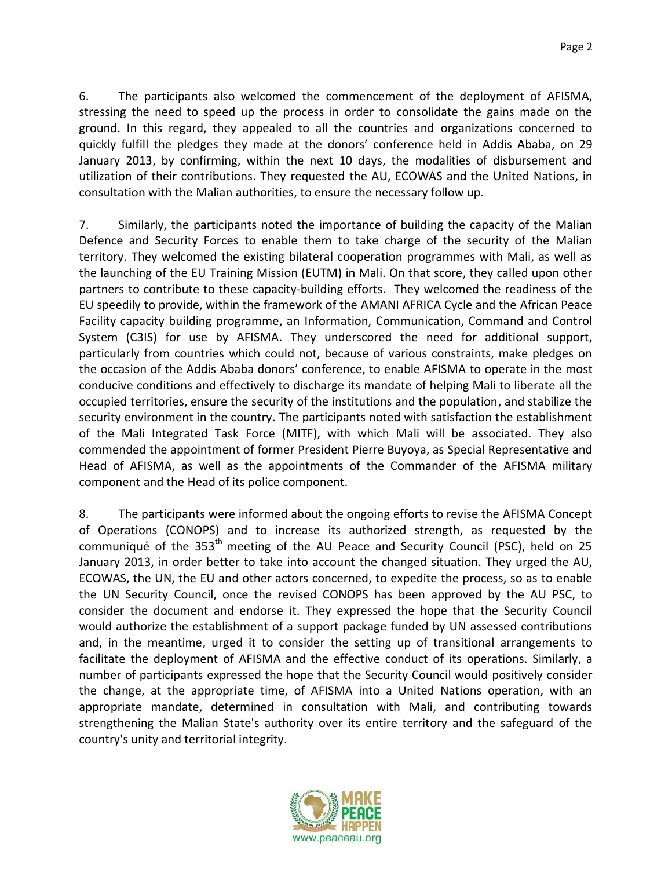6. The participants also welcomed the commencement of the deployment of AFISMA, stressing the need to speed up the process in order to consolidate the gains made on the ground. In this regard, they appealed to all the countries and organizations concerned to quickly fulfill the pledges they made at the donors' conference held in Addis Ababa, on 29 January 2013, by confirming, within the next 10 days, the modalities of disbursement and utilization of their contributions. They requested the AU, ECOWAS and the United Nations, in consultation with the Malian authorities, to ensure the necessary follow up.

7. Similarly, the participants noted the importance of building the capacity of the Malian Defence and Security Forces to enable them to take charge of the security of the Malian territory. They welcomed the existing bilateral cooperation programmes with Mali, as well as the launching of the EU Training Mission (EUTM) in Mali. On that score, they called upon other partners to contribute to these capacity-building efforts. They welcomed the readiness of the EU speedily to provide, within the framework of the AMANI AFRICA Cycle and the African Peace Facility capacity building programme, an Information, Communication, Command and Control System (C3IS) for use by AFISMA. They underscored the need for additional support, particularly from countries which could not, because of various constraints, make pledges on the occasion of the Addis Ababa donors' conference, to enable AFISMA to operate in the most conducive conditions and effectively to discharge its mandate of helping Mali to liberate all the occupied territories, ensure the security of the institutions and the population, and stabilize the security environment in the country. The participants noted with satisfaction the establishment of the Mali Integrated Task Force (MITF), with which Mali will be associated. They also commended the appointment of former President Pierre Buyoya, as Special Representative and Head of AFISMA, as well as the appointments of the Commander of the AFISMA military component and the Head of its police component.

8. The participants were informed about the ongoing efforts to revise the AFISMA Concept of Operations (CONOPS) and to increase its authorized strength, as requested by the communiqué of the 353<sup>th</sup> meeting of the AU Peace and Security Council (PSC), held on 25 January 2013, in order better to take into account the changed situation. They urged the AU, ECOWAS, the UN, the EU and other actors concerned, to expedite the process, so as to enable the UN Security Council, once the revised CONOPS has been approved by the AU PSC, to consider the document and endorse it. They expressed the hope that the Security Council would authorize the establishment of a support package funded by UN assessed contributions and, in the meantime, urged it to consider the setting up of transitional arrangements to facilitate the deployment of AFISMA and the effective conduct of its operations. Similarly, a number of participants expressed the hope that the Security Council would positively consider the change, at the appropriate time, of AFISMA into a United Nations operation, with an appropriate mandate, determined in consultation with Mali, and contributing towards strengthening the Malian State's authority over its entire territory and the safeguard of the country's unity and territorial integrity.

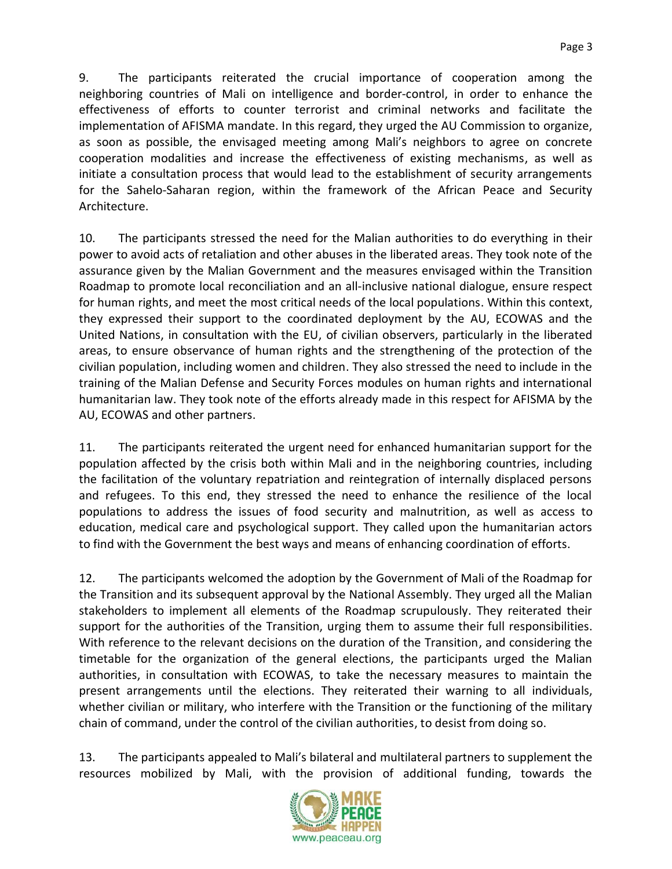9. The participants reiterated the crucial importance of cooperation among the neighboring countries of Mali on intelligence and border-control, in order to enhance the effectiveness of efforts to counter terrorist and criminal networks and facilitate the implementation of AFISMA mandate. In this regard, they urged the AU Commission to organize, as soon as possible, the envisaged meeting among Mali's neighbors to agree on concrete cooperation modalities and increase the effectiveness of existing mechanisms, as well as initiate a consultation process that would lead to the establishment of security arrangements for the Sahelo-Saharan region, within the framework of the African Peace and Security Architecture.

10. The participants stressed the need for the Malian authorities to do everything in their power to avoid acts of retaliation and other abuses in the liberated areas. They took note of the assurance given by the Malian Government and the measures envisaged within the Transition Roadmap to promote local reconciliation and an all-inclusive national dialogue, ensure respect for human rights, and meet the most critical needs of the local populations. Within this context, they expressed their support to the coordinated deployment by the AU, ECOWAS and the United Nations, in consultation with the EU, of civilian observers, particularly in the liberated areas, to ensure observance of human rights and the strengthening of the protection of the civilian population, including women and children. They also stressed the need to include in the training of the Malian Defense and Security Forces modules on human rights and international humanitarian law. They took note of the efforts already made in this respect for AFISMA by the AU, ECOWAS and other partners.

11. The participants reiterated the urgent need for enhanced humanitarian support for the population affected by the crisis both within Mali and in the neighboring countries, including the facilitation of the voluntary repatriation and reintegration of internally displaced persons and refugees. To this end, they stressed the need to enhance the resilience of the local populations to address the issues of food security and malnutrition, as well as access to education, medical care and psychological support. They called upon the humanitarian actors to find with the Government the best ways and means of enhancing coordination of efforts.

12. The participants welcomed the adoption by the Government of Mali of the Roadmap for the Transition and its subsequent approval by the National Assembly. They urged all the Malian stakeholders to implement all elements of the Roadmap scrupulously. They reiterated their support for the authorities of the Transition, urging them to assume their full responsibilities. With reference to the relevant decisions on the duration of the Transition, and considering the timetable for the organization of the general elections, the participants urged the Malian authorities, in consultation with ECOWAS, to take the necessary measures to maintain the present arrangements until the elections. They reiterated their warning to all individuals, whether civilian or military, who interfere with the Transition or the functioning of the military chain of command, under the control of the civilian authorities, to desist from doing so.

13. The participants appealed to Mali's bilateral and multilateral partners to supplement the resources mobilized by Mali, with the provision of additional funding, towards the

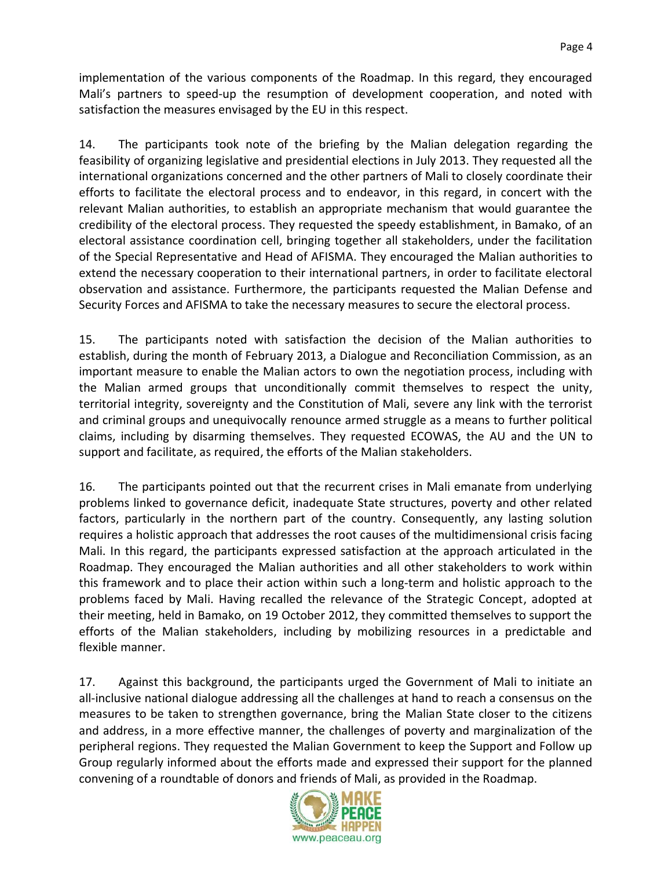implementation of the various components of the Roadmap. In this regard, they encouraged Mali's partners to speed-up the resumption of development cooperation, and noted with satisfaction the measures envisaged by the EU in this respect.

14. The participants took note of the briefing by the Malian delegation regarding the feasibility of organizing legislative and presidential elections in July 2013. They requested all the international organizations concerned and the other partners of Mali to closely coordinate their efforts to facilitate the electoral process and to endeavor, in this regard, in concert with the relevant Malian authorities, to establish an appropriate mechanism that would guarantee the credibility of the electoral process. They requested the speedy establishment, in Bamako, of an electoral assistance coordination cell, bringing together all stakeholders, under the facilitation of the Special Representative and Head of AFISMA. They encouraged the Malian authorities to extend the necessary cooperation to their international partners, in order to facilitate electoral observation and assistance. Furthermore, the participants requested the Malian Defense and Security Forces and AFISMA to take the necessary measures to secure the electoral process.

15. The participants noted with satisfaction the decision of the Malian authorities to establish, during the month of February 2013, a Dialogue and Reconciliation Commission, as an important measure to enable the Malian actors to own the negotiation process, including with the Malian armed groups that unconditionally commit themselves to respect the unity, territorial integrity, sovereignty and the Constitution of Mali, severe any link with the terrorist and criminal groups and unequivocally renounce armed struggle as a means to further political claims, including by disarming themselves. They requested ECOWAS, the AU and the UN to support and facilitate, as required, the efforts of the Malian stakeholders.

16. The participants pointed out that the recurrent crises in Mali emanate from underlying problems linked to governance deficit, inadequate State structures, poverty and other related factors, particularly in the northern part of the country. Consequently, any lasting solution requires a holistic approach that addresses the root causes of the multidimensional crisis facing Mali. In this regard, the participants expressed satisfaction at the approach articulated in the Roadmap. They encouraged the Malian authorities and all other stakeholders to work within this framework and to place their action within such a long-term and holistic approach to the problems faced by Mali. Having recalled the relevance of the Strategic Concept, adopted at their meeting, held in Bamako, on 19 October 2012, they committed themselves to support the efforts of the Malian stakeholders, including by mobilizing resources in a predictable and flexible manner.

17. Against this background, the participants urged the Government of Mali to initiate an all-inclusive national dialogue addressing all the challenges at hand to reach a consensus on the measures to be taken to strengthen governance, bring the Malian State closer to the citizens and address, in a more effective manner, the challenges of poverty and marginalization of the peripheral regions. They requested the Malian Government to keep the Support and Follow up Group regularly informed about the efforts made and expressed their support for the planned convening of a roundtable of donors and friends of Mali, as provided in the Roadmap.